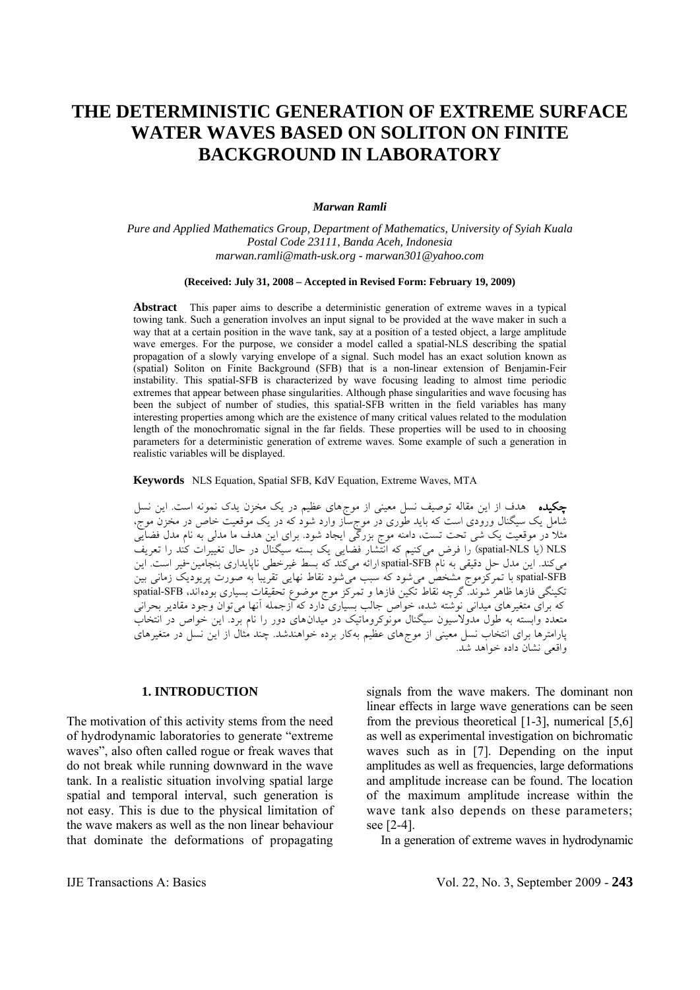# **THE DETERMINISTIC GENERATION OF EXTREME SURFACE WATER WAVES BASED ON SOLITON ON FINITE BACKGROUND IN LABORATORY**

#### *Marwan Ramli*

*Pure and Applied Mathematics Group, Department of Mathematics, University of Syiah Kuala Postal Code 23111, Banda Aceh, Indonesia marwan.ramli@math-usk.org - marwan301@yahoo.com* 

#### **(Received: July 31, 2008 – Accepted in Revised Form: February 19, 2009)**

**Abstract** This paper aims to describe a deterministic generation of extreme waves in a typical towing tank. Such a generation involves an input signal to be provided at the wave maker in such a way that at a certain position in the wave tank, say at a position of a tested object, a large amplitude wave emerges. For the purpose, we consider a model called a spatial-NLS describing the spatial propagation of a slowly varying envelope of a signal. Such model has an exact solution known as (spatial) Soliton on Finite Background (SFB) that is a non-linear extension of Benjamin-Feir instability. This spatial-SFB is characterized by wave focusing leading to almost time periodic extremes that appear between phase singularities. Although phase singularities and wave focusing has been the subject of number of studies, this spatial-SFB written in the field variables has many interesting properties among which are the existence of many critical values related to the modulation length of the monochromatic signal in the far fields. These properties will be used to in choosing parameters for a deterministic generation of extreme waves. Some example of such a generation in realistic variables will be displayed.

**Keywords** NLS Equation, Spatial SFB, KdV Equation, Extreme Waves, MTA

چكيده هدف از اين مقاله توصيف نسل معيني از موجهاي عظيم در يک مخزن يدک نمونه است. اين نسل شامل يک سيگنال ورودي است که بايد طوري در موجساز وارد شود که در يک موقعيت خاص در مخزن موج، مثلا در موقعيت يک شي تحت تست، دامنه موج بزرگي ايجاد شود. براي اين هدف ما مدلي به نام مدل فضايي NLS) يا NLS-spatial (را فرض ميکنيم که انتشار فضايي يک بسته سيگنال در حال تغييرات کند را تعريف ميکند. اين مدل حل دقيقي به نام spatial-SFB ارائه ميکند که بسط غيرخطي ناپايداري بنجامين-فير است. اين spatial-SFB با تمرکزموج مشخص مي شود که سبب مي شود نقاط نهايي تقريبا به صورت پريوديک زماني بين تکينگي فازها ظاهر شوند. گرچه نقاط تکين فازها و تمرکز موج موضوع تحقيقات بسياري بودهاند، SFB-spatial که براي متغيرهاي ميداني نوشته شده، خواص جالب بسياري دارد که ازجمله آنها ميتوان وجود مقادير بحراني متعدد وابسته به طول مدولاسيون سيگنال مونوکروماتيک در ميدانهاي دور را نام برد. اين خواص در انتخاب پارامترها براي انتخاب نسل معيني از موجهاي عظيم بهکار برده خواهندشد. چند مثال از اين نسل در متغيرهاي واقعي نشان داده خواهد شد.

## **1. INTRODUCTION**

The motivation of this activity stems from the need of hydrodynamic laboratories to generate "extreme waves", also often called rogue or freak waves that do not break while running downward in the wave tank. In a realistic situation involving spatial large spatial and temporal interval, such generation is not easy. This is due to the physical limitation of the wave makers as well as the non linear behaviour that dominate the deformations of propagating signals from the wave makers. The dominant non linear effects in large wave generations can be seen from the previous theoretical [1-3], numerical [5,6] as well as experimental investigation on bichromatic waves such as in [7]. Depending on the input amplitudes as well as frequencies, large deformations and amplitude increase can be found. The location of the maximum amplitude increase within the wave tank also depends on these parameters; see [2-4].

In a generation of extreme waves in hydrodynamic

IJE Transactions A: Basics Vol. 22, No. 3, September 2009 - **243**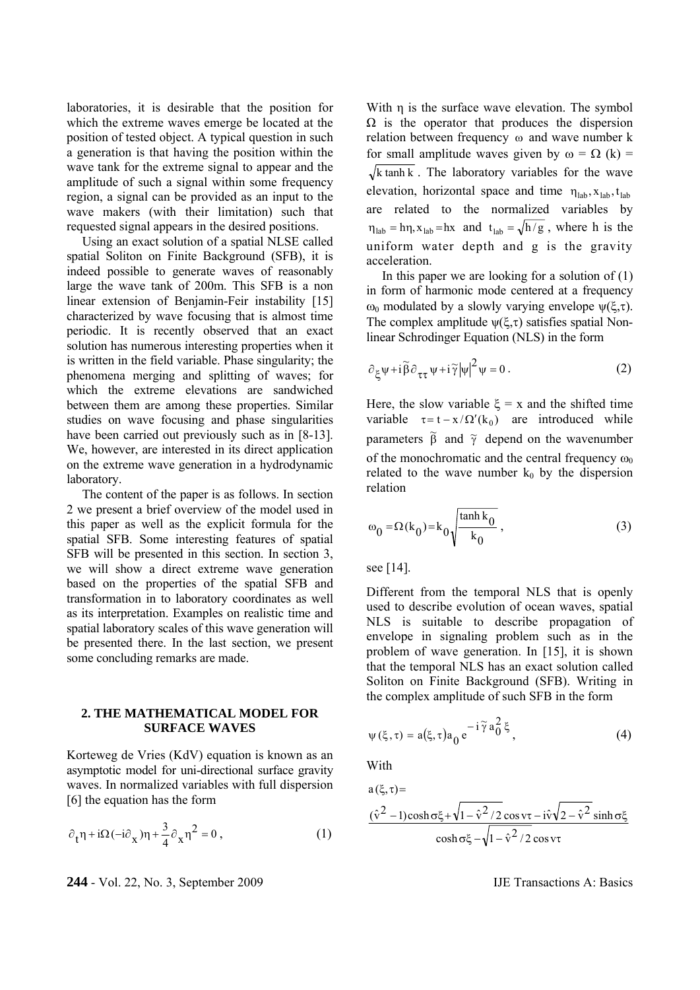laboratories, it is desirable that the position for which the extreme waves emerge be located at the position of tested object. A typical question in such a generation is that having the position within the wave tank for the extreme signal to appear and the amplitude of such a signal within some frequency region, a signal can be provided as an input to the wave makers (with their limitation) such that requested signal appears in the desired positions.

 Using an exact solution of a spatial NLSE called spatial Soliton on Finite Background (SFB), it is indeed possible to generate waves of reasonably large the wave tank of 200m. This SFB is a non linear extension of Benjamin-Feir instability [15] characterized by wave focusing that is almost time periodic. It is recently observed that an exact solution has numerous interesting properties when it is written in the field variable. Phase singularity; the phenomena merging and splitting of waves; for which the extreme elevations are sandwiched between them are among these properties. Similar studies on wave focusing and phase singularities have been carried out previously such as in [8-13]. We, however, are interested in its direct application on the extreme wave generation in a hydrodynamic laboratory.

 The content of the paper is as follows. In section 2 we present a brief overview of the model used in this paper as well as the explicit formula for the spatial SFB. Some interesting features of spatial SFB will be presented in this section. In section 3, we will show a direct extreme wave generation based on the properties of the spatial SFB and transformation in to laboratory coordinates as well as its interpretation. Examples on realistic time and spatial laboratory scales of this wave generation will be presented there. In the last section, we present some concluding remarks are made.

## **2. THE MATHEMATICAL MODEL FOR SURFACE WAVES**

Korteweg de Vries (KdV) equation is known as an asymptotic model for uni-directional surface gravity waves. In normalized variables with full dispersion [6] the equation has the form

$$
\partial_t \eta + i\Omega(-i\partial_x)\eta + \frac{3}{4}\partial_x \eta^2 = 0 , \qquad (1)
$$

**244** - Vol. 22, No. 3, September 2009 IJE Transactions A: Basics

With η is the surface wave elevation. The symbol  $\Omega$  is the operator that produces the dispersion relation between frequency ω and wave number k for small amplitude waves given by  $\omega = \Omega$  (k) =  $\sqrt{k \tanh k}$ . The laboratory variables for the wave elevation, horizontal space and time  $\eta_{lab}$ ,  $x_{lab}$ ,  $t_{lab}$ are related to the normalized variables by  $\eta_{lab} = h\eta$ ,  $x_{lab} = hx$  and  $t_{lab} = \sqrt{h/g}$ , where h is the uniform water depth and g is the gravity acceleration.

In this paper we are looking for a solution of  $(1)$ in form of harmonic mode centered at a frequency  $ω_0$  modulated by a slowly varying envelope  $ψ(ξ,τ)$ . The complex amplitude  $\psi(\xi,\tau)$  satisfies spatial Nonlinear Schrodinger Equation (NLS) in the form

$$
\partial_{\xi} \psi + i \widetilde{\beta} \partial_{\tau \tau} \psi + i \widetilde{\gamma} |\psi|^2 \psi = 0.
$$
 (2)

Here, the slow variable  $\xi = x$  and the shifted time variable  $\tau = t - x / \Omega'(k_0)$  are introduced while parameters  $\tilde{\beta}$  and  $\tilde{\gamma}$  depend on the wavenumber of the monochromatic and the central frequency  $\omega_0$ related to the wave number  $k_0$  by the dispersion relation

$$
\omega_0 = \Omega(k_0) = k_0 \sqrt{\frac{\tanh k_0}{k_0}},
$$
\n(3)

see [14].

Different from the temporal NLS that is openly used to describe evolution of ocean waves, spatial NLS is suitable to describe propagation of envelope in signaling problem such as in the problem of wave generation. In [15], it is shown that the temporal NLS has an exact solution called Soliton on Finite Background (SFB). Writing in the complex amplitude of such SFB in the form

$$
\psi(\xi,\tau) = a(\xi,\tau)a_0 e^{-i\widetilde{\gamma} a_0^2 \xi}, \qquad (4)
$$

With

$$
a(\xi,\tau)=\frac{(\hat{v}^2-1)\cosh\sigma\xi+\sqrt{1-\hat{v}^2/2}\cos v\tau-i\hat{v}\sqrt{2-\hat{v}^2}\sinh\sigma\xi}{\cosh\sigma\xi-\sqrt{1-\hat{v}^2/2}\cos v\tau}
$$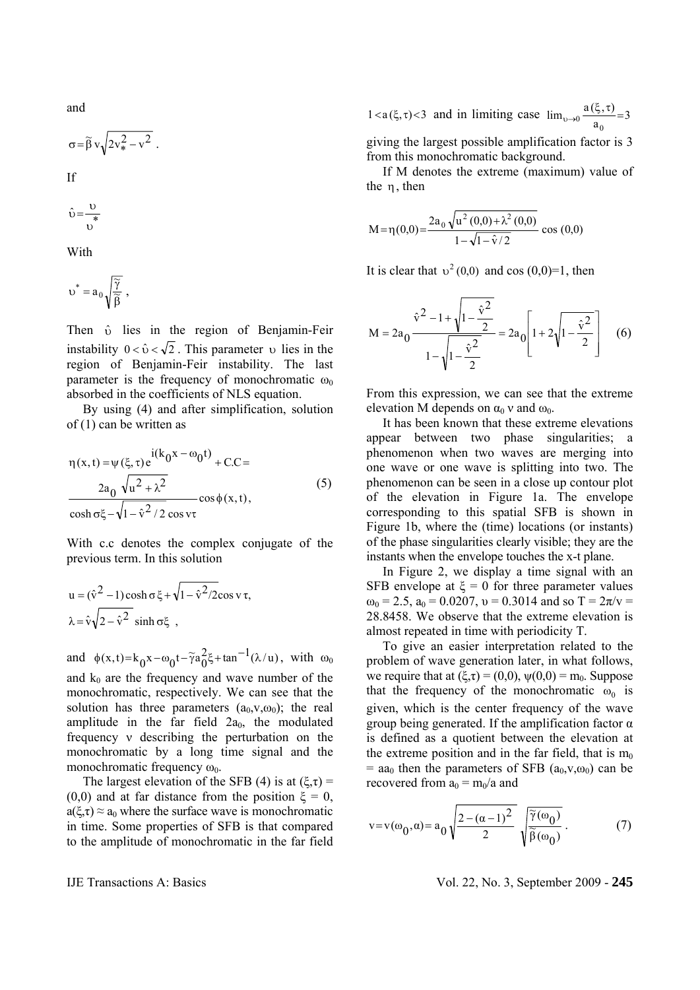and

$$
\sigma\!=\!\widetilde{\beta}\,v\sqrt{2v_*^2-v^2}\ .
$$

If

$$
\hat{\upsilon} = \frac{\upsilon}{\upsilon}
$$

With

$$
\upsilon^* = a_0 \sqrt{\frac{\widetilde{\gamma}}{\widetilde{\beta}}} \ ,
$$

Then  $\hat{v}$  lies in the region of Benjamin-Feir instability  $0 < \hat{v} < \sqrt{2}$ . This parameter v lies in the region of Benjamin-Feir instability. The last parameter is the frequency of monochromatic  $\omega_0$ absorbed in the coefficients of NLS equation.

 By using (4) and after simplification, solution of (1) can be written as

$$
\eta(x,t) = \psi(\xi,\tau)e^{i(k_0x - \omega_0t)} + C.C =
$$
  

$$
\frac{2a_0 \sqrt{u^2 + \lambda^2}}{\cosh \sigma\xi - \sqrt{1 - \hat{v}^2/2} \cos \nu\tau}
$$
 (5)

With c.c denotes the complex conjugate of the previous term. In this solution

$$
u = (\hat{v}^2 - 1) \cosh \sigma \xi + \sqrt{1 - \hat{v}^2 / 2} \cos v \tau,
$$
  

$$
\lambda = \hat{v} \sqrt{2 - \hat{v}^2} \sinh \sigma \xi ,
$$

and  $\phi(x,t) = k_0 x - \omega_0 t - \tilde{\gamma} a_0^2 \xi + \tan^{-1}(\lambda/u)$ , with  $\omega_0$ and  $k_0$  are the frequency and wave number of the monochromatic, respectively. We can see that the solution has three parameters  $(a_0, v, \omega_0)$ ; the real amplitude in the far field  $2a_0$ , the modulated frequency ν describing the perturbation on the monochromatic by a long time signal and the monochromatic frequency  $\omega_0$ .

The largest elevation of the SFB (4) is at  $(\xi, \tau)$  = (0,0) and at far distance from the position  $\xi = 0$ ,  $a(\xi,\tau) \approx a_0$  where the surface wave is monochromatic in time. Some properties of SFB is that compared to the amplitude of monochromatic in the far field  $1 < a(\xi, \tau) < 3$  and in limiting case  $\lim_{\upsilon \to 0} \frac{a(\xi, \tau)}{a_0} = 3$  $_{0\to 0}$   $\frac{a(\xi, \tau)}{a_0}$  =

giving the largest possible amplification factor is 3 from this monochromatic background.

 If M denotes the extreme (maximum) value of the η, then

$$
M = \eta(0,0) = \frac{2a_0 \sqrt{u^2(0,0) + \lambda^2(0,0)}}{1 - \sqrt{1 - \hat{v}/2}} \cos(0,0)
$$

It is clear that  $v^2(0,0)$  and cos  $(0,0)=1$ , then

$$
M = 2a_0 \frac{\hat{v}^2 - 1 + \sqrt{1 - \frac{\hat{v}^2}{2}}}{1 - \sqrt{1 - \frac{\hat{v}^2}{2}}} = 2a_0 \left[ 1 + 2\sqrt{1 - \frac{\hat{v}^2}{2}} \right] \quad (6)
$$

From this expression, we can see that the extreme elevation M depends on  $\alpha_0$  v and  $\omega_0$ .

 It has been known that these extreme elevations appear between two phase singularities; a phenomenon when two waves are merging into one wave or one wave is splitting into two. The phenomenon can be seen in a close up contour plot of the elevation in Figure 1a. The envelope corresponding to this spatial SFB is shown in Figure 1b, where the (time) locations (or instants) of the phase singularities clearly visible; they are the instants when the envelope touches the x-t plane.

 In Figure 2, we display a time signal with an SFB envelope at  $\xi = 0$  for three parameter values  $\omega_0 = 2.5$ ,  $a_0 = 0.0207$ ,  $v = 0.3014$  and so  $T = 2\pi/v =$ 28.8458. We observe that the extreme elevation is almost repeated in time with periodicity T.

 To give an easier interpretation related to the problem of wave generation later, in what follows, we require that at  $(\xi, \tau) = (0,0)$ ,  $\psi(0,0) = m_0$ . Suppose that the frequency of the monochromatic  $\omega_0$  is given, which is the center frequency of the wave group being generated. If the amplification factor  $\alpha$ is defined as a quotient between the elevation at the extreme position and in the far field, that is  $m_0$  $=$  aa<sub>0</sub> then the parameters of SFB ( $a_0, v, \omega_0$ ) can be recovered from  $a_0 = m_0/a$  and

$$
v = v(\omega_0, \alpha) = a_0 \sqrt{\frac{2 - (\alpha - 1)^2}{2}} \sqrt{\frac{\widetilde{\gamma}(\omega_0)}{\widetilde{\beta}(\omega_0)}}.
$$
 (7)

IJE Transactions A: Basics Vol. 22, No. 3, September 2009 - **245**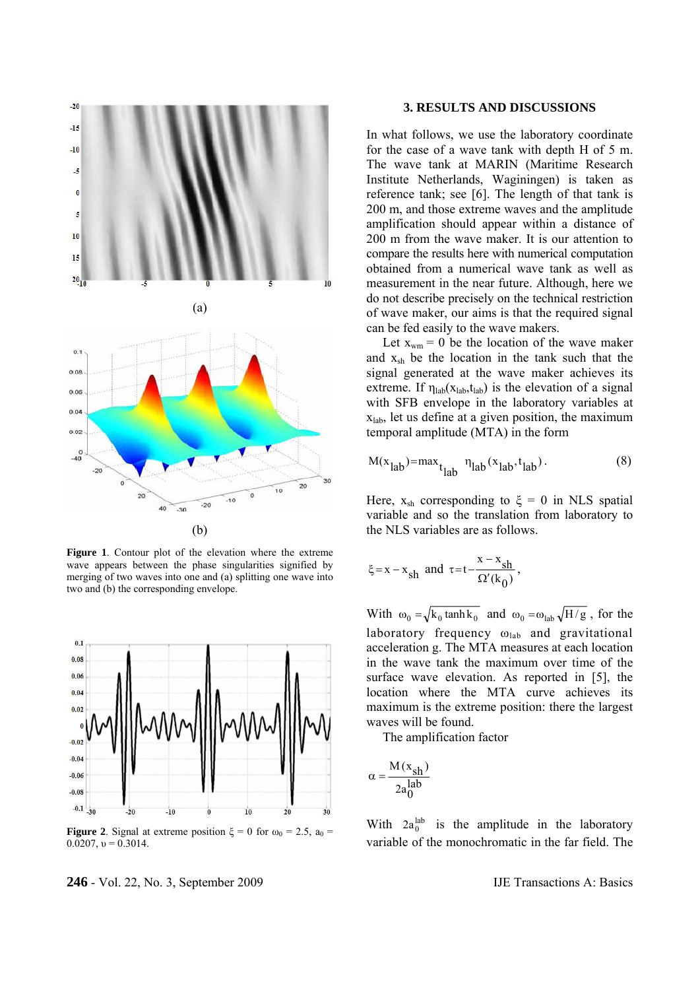

**Figure 1**. Contour plot of the elevation where the extreme wave appears between the phase singularities signified by merging of two waves into one and (a) splitting one wave into two and (b) the corresponding envelope.



**Figure 2.** Signal at extreme position  $\xi = 0$  for  $\omega_0 = 2.5$ ,  $a_0 =$ 0.0207,  $v = 0.3014$ .

## In what follows, we use the laboratory coordinate

for the case of a wave tank with depth H of 5 m. The wave tank at MARIN (Maritime Research Institute Netherlands, Waginingen) is taken as reference tank; see [6]. The length of that tank is 200 m, and those extreme waves and the amplitude amplification should appear within a distance of 200 m from the wave maker. It is our attention to compare the results here with numerical computation obtained from a numerical wave tank as well as measurement in the near future. Although, here we do not describe precisely on the technical restriction of wave maker, our aims is that the required signal can be fed easily to the wave makers.

**3. RESULTS AND DISCUSSIONS** 

Let  $x_{wm} = 0$  be the location of the wave maker and xsh be the location in the tank such that the signal generated at the wave maker achieves its extreme. If  $\eta_{lab}(x_{lab}, t_{lab})$  is the elevation of a signal with SFB envelope in the laboratory variables at xlab, let us define at a given position, the maximum temporal amplitude (MTA) in the form

$$
M(xlab) = maxtlab \etalab(xlab, tlab).
$$
 (8)

Here,  $x_{sh}$  corresponding to  $\xi = 0$  in NLS spatial variable and so the translation from laboratory to the NLS variables are as follows.

$$
\xi = x - x_{sh}
$$
 and  $\tau = t - \frac{x - x_{sh}}{\Omega'(k_0)}$ ,

With  $\omega_0 = \sqrt{k_0 \tanh k_0}$  and  $\omega_0 = \omega_{\text{lab}} \sqrt{H/g}$ , for the laboratory frequency  $\omega_{lab}$  and gravitational acceleration g. The MTA measures at each location in the wave tank the maximum over time of the surface wave elevation. As reported in [5], the location where the MTA curve achieves its maximum is the extreme position: there the largest waves will be found.

The amplification factor

$$
\alpha = \frac{M(x_{sh})}{2a_0^{lab}}
$$

With  $2a_0^{lab}$  is the amplitude in the laboratory variable of the monochromatic in the far field. The

**246** - Vol. 22, No. 3, September 2009 IJE Transactions A: Basics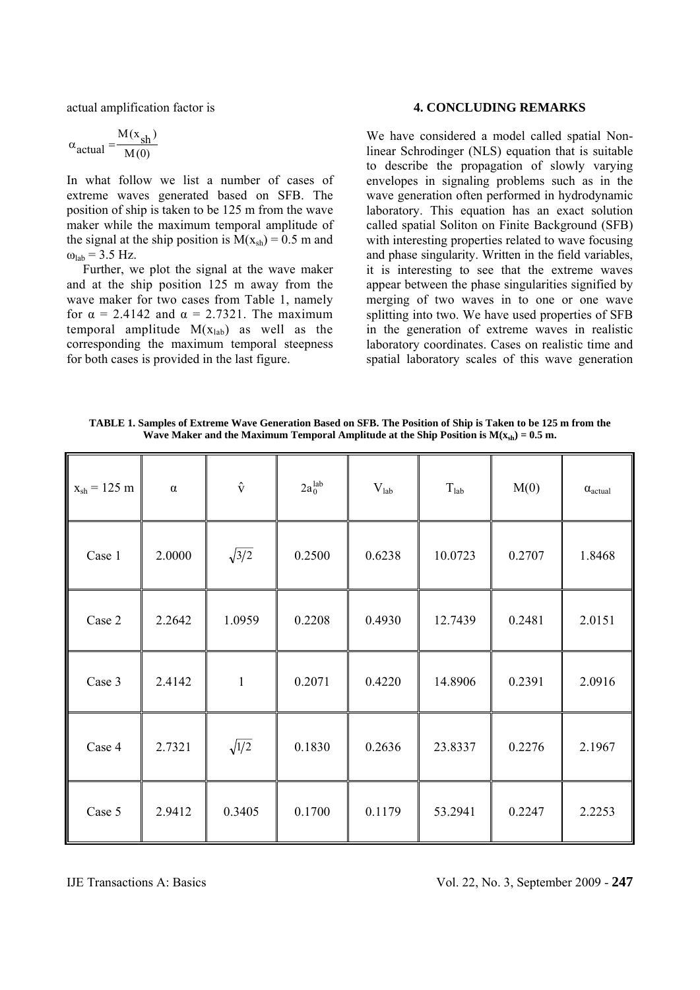actual amplification factor is

$$
\alpha_{\text{actual}} = \frac{M(x_{\text{sh}})}{M(0)}
$$

In what follow we list a number of cases of extreme waves generated based on SFB. The position of ship is taken to be 125 m from the wave maker while the maximum temporal amplitude of the signal at the ship position is  $M(x_{sh}) = 0.5$  m and  $\omega_{\text{lab}}$  = 3.5 Hz.

 Further, we plot the signal at the wave maker and at the ship position 125 m away from the wave maker for two cases from Table 1, namely for  $\alpha = 2.4142$  and  $\alpha = 2.7321$ . The maximum temporal amplitude  $M(x_{lab})$  as well as the corresponding the maximum temporal steepness for both cases is provided in the last figure.

#### **4. CONCLUDING REMARKS**

We have considered a model called spatial Nonlinear Schrodinger (NLS) equation that is suitable to describe the propagation of slowly varying envelopes in signaling problems such as in the wave generation often performed in hydrodynamic laboratory. This equation has an exact solution called spatial Soliton on Finite Background (SFB) with interesting properties related to wave focusing and phase singularity. Written in the field variables, it is interesting to see that the extreme waves appear between the phase singularities signified by merging of two waves in to one or one wave splitting into two. We have used properties of SFB in the generation of extreme waves in realistic laboratory coordinates. Cases on realistic time and spatial laboratory scales of this wave generation

**TABLE 1. Samples of Extreme Wave Generation Based on SFB. The Position of Ship is Taken to be 125 m from the Wave Maker and the Maximum Temporal Amplitude at the Ship Position is**  $M(x_{sh}) = 0.5$  **m.** 

| $x_{sh} = 125$ m | $\alpha$ | $\hat{\mathbf{v}}$ | $2a_0^{\text{lab}}$ | $V_{lab}$ | $T_{\text{lab}}$ | M(0)   | $\alpha_{actual}$ |
|------------------|----------|--------------------|---------------------|-----------|------------------|--------|-------------------|
| Case 1           | 2.0000   | $\sqrt{3/2}$       | 0.2500              | 0.6238    | 10.0723          | 0.2707 | 1.8468            |
| Case 2           | 2.2642   | 1.0959             | 0.2208              | 0.4930    | 12.7439          | 0.2481 | 2.0151            |
| Case 3           | 2.4142   | $\mathbf{1}$       | 0.2071              | 0.4220    | 14.8906          | 0.2391 | 2.0916            |
| Case 4           | 2.7321   | $\sqrt{1/2}$       | 0.1830              | 0.2636    | 23.8337          | 0.2276 | 2.1967            |
| Case 5           | 2.9412   | 0.3405             | 0.1700              | 0.1179    | 53.2941          | 0.2247 | 2.2253            |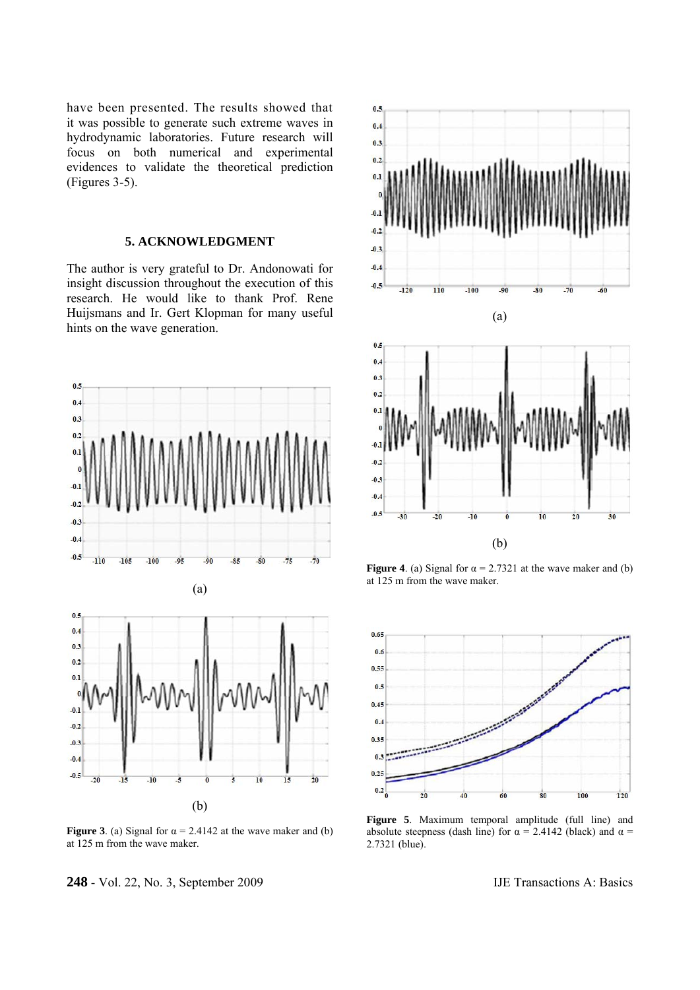have been presented. The results showed that it was possible to generate such extreme waves in hydrodynamic laboratories. Future research will focus on both numerical and experimental evidences to validate the theoretical prediction (Figures 3-5).

## **5. ACKNOWLEDGMENT**

The author is very grateful to Dr. Andonowati for insight discussion throughout the execution of this research. He would like to thank Prof. Rene Huijsmans and Ir. Gert Klopman for many useful hints on the wave generation.





**Figure 3**. (a) Signal for  $\alpha = 2.4142$  at the wave maker and (b) at 125 m from the wave maker.

**248** - Vol. 22, No. 3, September 2009 IJE Transactions A: Basics



**Figure 4**. (a) Signal for  $\alpha = 2.7321$  at the wave maker and (b) at 125 m from the wave maker.



**Figure 5**. Maximum temporal amplitude (full line) and absolute steepness (dash line) for  $\alpha = 2.4142$  (black) and  $\alpha =$ 2.7321 (blue).